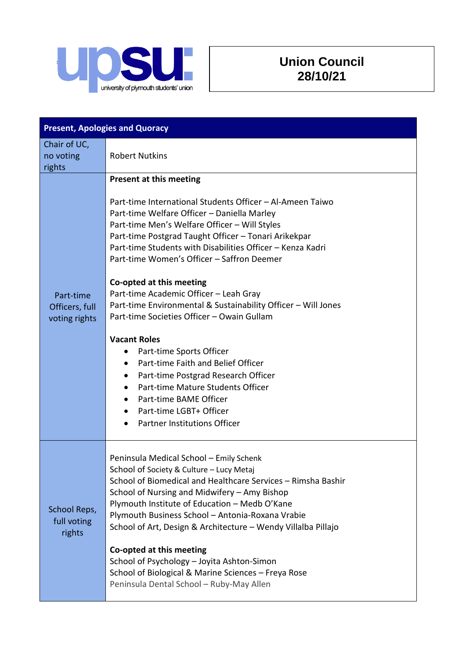

## **Union Council 28/10/21**

| <b>Present, Apologies and Quoracy</b>        |                                                                                                                                                                                                                                                                                                                                                                                                                                                                                                                                                                                                                                                                                                                                                                                                                                               |
|----------------------------------------------|-----------------------------------------------------------------------------------------------------------------------------------------------------------------------------------------------------------------------------------------------------------------------------------------------------------------------------------------------------------------------------------------------------------------------------------------------------------------------------------------------------------------------------------------------------------------------------------------------------------------------------------------------------------------------------------------------------------------------------------------------------------------------------------------------------------------------------------------------|
| Chair of UC,<br>no voting<br>rights          | <b>Robert Nutkins</b>                                                                                                                                                                                                                                                                                                                                                                                                                                                                                                                                                                                                                                                                                                                                                                                                                         |
| Part-time<br>Officers, full<br>voting rights | Present at this meeting<br>Part-time International Students Officer - Al-Ameen Taiwo<br>Part-time Welfare Officer - Daniella Marley<br>Part-time Men's Welfare Officer - Will Styles<br>Part-time Postgrad Taught Officer - Tonari Arikekpar<br>Part-time Students with Disabilities Officer - Kenza Kadri<br>Part-time Women's Officer - Saffron Deemer<br>Co-opted at this meeting<br>Part-time Academic Officer - Leah Gray<br>Part-time Environmental & Sustainability Officer - Will Jones<br>Part-time Societies Officer - Owain Gullam<br><b>Vacant Roles</b><br>Part-time Sports Officer<br>٠<br>Part-time Faith and Belief Officer<br>$\bullet$<br>Part-time Postgrad Research Officer<br>Part-time Mature Students Officer<br>Part-time BAME Officer<br>Part-time LGBT+ Officer<br><b>Partner Institutions Officer</b><br>$\bullet$ |
| School Reps,<br>full voting<br>rights        | Peninsula Medical School - Emily Schenk<br>School of Society & Culture - Lucy Metaj<br>School of Biomedical and Healthcare Services - Rimsha Bashir<br>School of Nursing and Midwifery - Amy Bishop<br>Plymouth Institute of Education - Medb O'Kane<br>Plymouth Business School - Antonia-Roxana Vrabie<br>School of Art, Design & Architecture - Wendy Villalba Pillajo<br>Co-opted at this meeting<br>School of Psychology - Joyita Ashton-Simon<br>School of Biological & Marine Sciences - Freya Rose<br>Peninsula Dental School - Ruby-May Allen                                                                                                                                                                                                                                                                                        |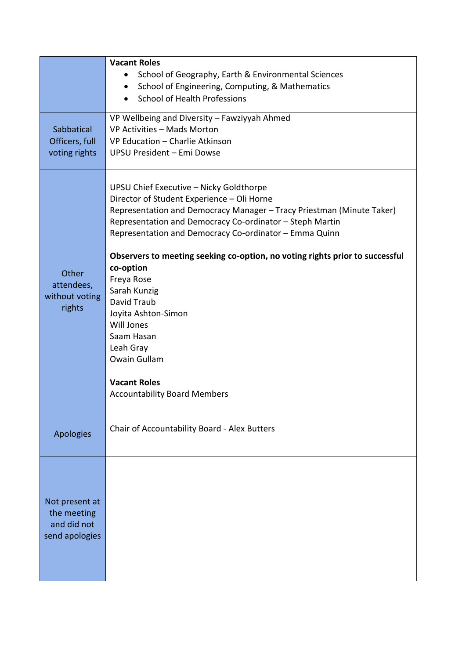|                            | <b>Vacant Roles</b>                                                                                                                                                                                                                                                                  |
|----------------------------|--------------------------------------------------------------------------------------------------------------------------------------------------------------------------------------------------------------------------------------------------------------------------------------|
|                            | School of Geography, Earth & Environmental Sciences                                                                                                                                                                                                                                  |
|                            | School of Engineering, Computing, & Mathematics<br>$\bullet$                                                                                                                                                                                                                         |
|                            | <b>School of Health Professions</b>                                                                                                                                                                                                                                                  |
|                            |                                                                                                                                                                                                                                                                                      |
|                            | VP Wellbeing and Diversity - Fawziyyah Ahmed                                                                                                                                                                                                                                         |
| Sabbatical                 | VP Activities - Mads Morton                                                                                                                                                                                                                                                          |
| Officers, full             | VP Education - Charlie Atkinson                                                                                                                                                                                                                                                      |
| voting rights              | UPSU President - Emi Dowse                                                                                                                                                                                                                                                           |
|                            | UPSU Chief Executive - Nicky Goldthorpe<br>Director of Student Experience - Oli Horne<br>Representation and Democracy Manager - Tracy Priestman (Minute Taker)<br>Representation and Democracy Co-ordinator - Steph Martin<br>Representation and Democracy Co-ordinator - Emma Quinn |
|                            | Observers to meeting seeking co-option, no voting rights prior to successful                                                                                                                                                                                                         |
| Other                      | co-option                                                                                                                                                                                                                                                                            |
| attendees,                 | Freya Rose                                                                                                                                                                                                                                                                           |
| without voting             | Sarah Kunzig<br>David Traub                                                                                                                                                                                                                                                          |
| rights                     | Joyita Ashton-Simon                                                                                                                                                                                                                                                                  |
|                            | Will Jones                                                                                                                                                                                                                                                                           |
|                            | Saam Hasan                                                                                                                                                                                                                                                                           |
|                            | Leah Gray                                                                                                                                                                                                                                                                            |
|                            | Owain Gullam                                                                                                                                                                                                                                                                         |
|                            |                                                                                                                                                                                                                                                                                      |
|                            | <b>Vacant Roles</b>                                                                                                                                                                                                                                                                  |
|                            | <b>Accountability Board Members</b>                                                                                                                                                                                                                                                  |
|                            |                                                                                                                                                                                                                                                                                      |
|                            | Chair of Accountability Board - Alex Butters                                                                                                                                                                                                                                         |
| <b>Apologies</b>           |                                                                                                                                                                                                                                                                                      |
|                            |                                                                                                                                                                                                                                                                                      |
|                            |                                                                                                                                                                                                                                                                                      |
|                            |                                                                                                                                                                                                                                                                                      |
|                            |                                                                                                                                                                                                                                                                                      |
| Not present at             |                                                                                                                                                                                                                                                                                      |
| the meeting<br>and did not |                                                                                                                                                                                                                                                                                      |
| send apologies             |                                                                                                                                                                                                                                                                                      |
|                            |                                                                                                                                                                                                                                                                                      |
|                            |                                                                                                                                                                                                                                                                                      |
|                            |                                                                                                                                                                                                                                                                                      |
|                            |                                                                                                                                                                                                                                                                                      |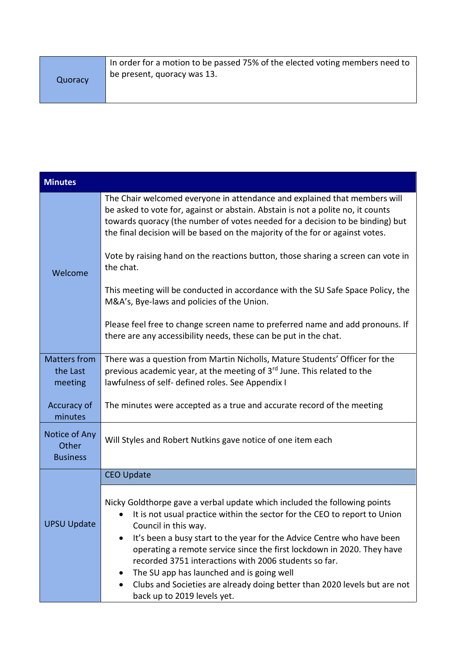| Quoracy | In order for a motion to be passed 75% of the elected voting members need to<br>be present, quoracy was 13. |
|---------|-------------------------------------------------------------------------------------------------------------|
|         |                                                                                                             |

| <b>Minutes</b>                             |                                                                                                                                                                                                                                                                                                                                                                                                                                                                                                                                                                        |
|--------------------------------------------|------------------------------------------------------------------------------------------------------------------------------------------------------------------------------------------------------------------------------------------------------------------------------------------------------------------------------------------------------------------------------------------------------------------------------------------------------------------------------------------------------------------------------------------------------------------------|
| Welcome                                    | The Chair welcomed everyone in attendance and explained that members will<br>be asked to vote for, against or abstain. Abstain is not a polite no, it counts<br>towards quoracy (the number of votes needed for a decision to be binding) but<br>the final decision will be based on the majority of the for or against votes.<br>Vote by raising hand on the reactions button, those sharing a screen can vote in                                                                                                                                                     |
|                                            | the chat.<br>This meeting will be conducted in accordance with the SU Safe Space Policy, the<br>M&A's, Bye-laws and policies of the Union.                                                                                                                                                                                                                                                                                                                                                                                                                             |
|                                            | Please feel free to change screen name to preferred name and add pronouns. If<br>there are any accessibility needs, these can be put in the chat.                                                                                                                                                                                                                                                                                                                                                                                                                      |
| <b>Matters from</b><br>the Last<br>meeting | There was a question from Martin Nicholls, Mature Students' Officer for the<br>previous academic year, at the meeting of 3rd June. This related to the<br>lawfulness of self- defined roles. See Appendix I                                                                                                                                                                                                                                                                                                                                                            |
| Accuracy of<br>minutes                     | The minutes were accepted as a true and accurate record of the meeting                                                                                                                                                                                                                                                                                                                                                                                                                                                                                                 |
| Notice of Any<br>Other<br><b>Business</b>  | Will Styles and Robert Nutkins gave notice of one item each                                                                                                                                                                                                                                                                                                                                                                                                                                                                                                            |
| <b>UPSU Update</b>                         | <b>CEO Update</b>                                                                                                                                                                                                                                                                                                                                                                                                                                                                                                                                                      |
|                                            | Nicky Goldthorpe gave a verbal update which included the following points<br>It is not usual practice within the sector for the CEO to report to Union<br>Council in this way.<br>It's been a busy start to the year for the Advice Centre who have been<br>operating a remote service since the first lockdown in 2020. They have<br>recorded 3751 interactions with 2006 students so far.<br>The SU app has launched and is going well<br>٠<br>Clubs and Societies are already doing better than 2020 levels but are not<br>$\bullet$<br>back up to 2019 levels yet. |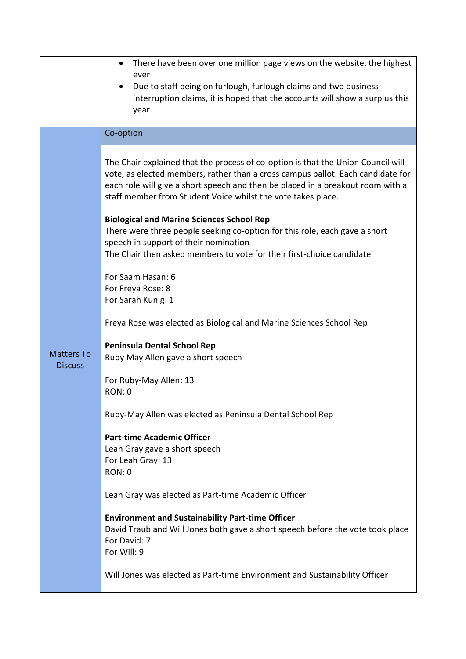|                                     | There have been over one million page views on the website, the highest<br>ever<br>Due to staff being on furlough, furlough claims and two business<br>interruption claims, it is hoped that the accounts will show a surplus this<br>year.                                                                            |
|-------------------------------------|------------------------------------------------------------------------------------------------------------------------------------------------------------------------------------------------------------------------------------------------------------------------------------------------------------------------|
|                                     | Co-option                                                                                                                                                                                                                                                                                                              |
|                                     | The Chair explained that the process of co-option is that the Union Council will<br>vote, as elected members, rather than a cross campus ballot. Each candidate for<br>each role will give a short speech and then be placed in a breakout room with a<br>staff member from Student Voice whilst the vote takes place. |
|                                     | <b>Biological and Marine Sciences School Rep</b><br>There were three people seeking co-option for this role, each gave a short                                                                                                                                                                                         |
|                                     | speech in support of their nomination<br>The Chair then asked members to vote for their first-choice candidate                                                                                                                                                                                                         |
|                                     | For Saam Hasan: 6<br>For Freya Rose: 8<br>For Sarah Kunig: 1                                                                                                                                                                                                                                                           |
|                                     | Freya Rose was elected as Biological and Marine Sciences School Rep                                                                                                                                                                                                                                                    |
| <b>Matters To</b><br><b>Discuss</b> | <b>Peninsula Dental School Rep</b><br>Ruby May Allen gave a short speech                                                                                                                                                                                                                                               |
|                                     | For Ruby-May Allen: 13<br><b>RON: 0</b>                                                                                                                                                                                                                                                                                |
|                                     | Ruby-May Allen was elected as Peninsula Dental School Rep                                                                                                                                                                                                                                                              |
|                                     | <b>Part-time Academic Officer</b><br>Leah Gray gave a short speech<br>For Leah Gray: 13<br><b>RON: 0</b>                                                                                                                                                                                                               |
|                                     | Leah Gray was elected as Part-time Academic Officer                                                                                                                                                                                                                                                                    |
|                                     | <b>Environment and Sustainability Part-time Officer</b><br>David Traub and Will Jones both gave a short speech before the vote took place<br>For David: 7<br>For Will: 9                                                                                                                                               |
|                                     | Will Jones was elected as Part-time Environment and Sustainability Officer                                                                                                                                                                                                                                             |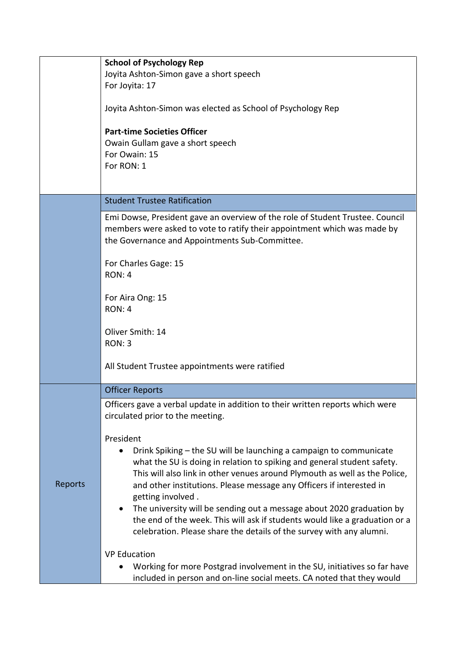|         | <b>School of Psychology Rep</b>                                                                                                                                                                             |
|---------|-------------------------------------------------------------------------------------------------------------------------------------------------------------------------------------------------------------|
|         | Joyita Ashton-Simon gave a short speech                                                                                                                                                                     |
|         | For Joyita: 17                                                                                                                                                                                              |
|         | Joyita Ashton-Simon was elected as School of Psychology Rep                                                                                                                                                 |
|         | <b>Part-time Societies Officer</b>                                                                                                                                                                          |
|         | Owain Gullam gave a short speech                                                                                                                                                                            |
|         | For Owain: 15                                                                                                                                                                                               |
|         | For RON: 1                                                                                                                                                                                                  |
|         |                                                                                                                                                                                                             |
|         |                                                                                                                                                                                                             |
|         | <b>Student Trustee Ratification</b>                                                                                                                                                                         |
|         | Emi Dowse, President gave an overview of the role of Student Trustee. Council<br>members were asked to vote to ratify their appointment which was made by<br>the Governance and Appointments Sub-Committee. |
|         | For Charles Gage: 15                                                                                                                                                                                        |
|         | <b>RON: 4</b>                                                                                                                                                                                               |
|         |                                                                                                                                                                                                             |
|         | For Aira Ong: 15                                                                                                                                                                                            |
|         | <b>RON: 4</b>                                                                                                                                                                                               |
|         |                                                                                                                                                                                                             |
|         | Oliver Smith: 14                                                                                                                                                                                            |
|         | <b>RON: 3</b>                                                                                                                                                                                               |
|         | All Student Trustee appointments were ratified                                                                                                                                                              |
|         | <b>Officer Reports</b>                                                                                                                                                                                      |
|         | Officers gave a verbal update in addition to their written reports which were                                                                                                                               |
|         | circulated prior to the meeting.                                                                                                                                                                            |
|         |                                                                                                                                                                                                             |
|         | President                                                                                                                                                                                                   |
|         | Drink Spiking – the SU will be launching a campaign to communicate                                                                                                                                          |
|         | what the SU is doing in relation to spiking and general student safety.                                                                                                                                     |
| Reports | This will also link in other venues around Plymouth as well as the Police,<br>and other institutions. Please message any Officers if interested in                                                          |
|         | getting involved.                                                                                                                                                                                           |
|         | The university will be sending out a message about 2020 graduation by<br>$\bullet$                                                                                                                          |
|         | the end of the week. This will ask if students would like a graduation or a                                                                                                                                 |
|         | celebration. Please share the details of the survey with any alumni.                                                                                                                                        |
|         |                                                                                                                                                                                                             |
|         | <b>VP Education</b>                                                                                                                                                                                         |
|         | Working for more Postgrad involvement in the SU, initiatives so far have                                                                                                                                    |
|         | included in person and on-line social meets. CA noted that they would                                                                                                                                       |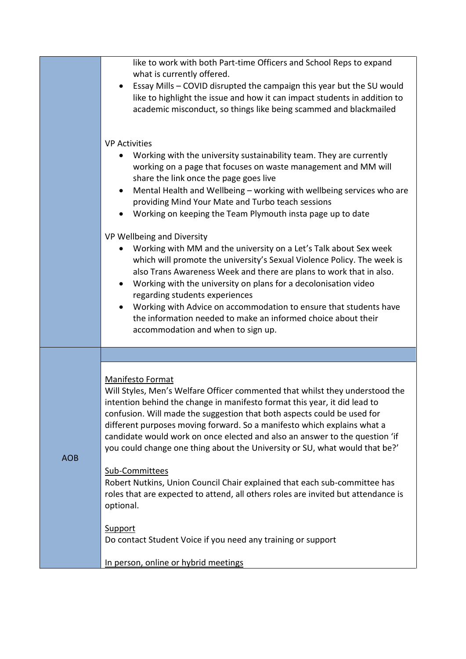|            | like to work with both Part-time Officers and School Reps to expand<br>what is currently offered.<br>Essay Mills - COVID disrupted the campaign this year but the SU would<br>like to highlight the issue and how it can impact students in addition to<br>academic misconduct, so things like being scammed and blackmailed                                                                                                                                                                                                                                                                                                                                                                                                                                                  |
|------------|-------------------------------------------------------------------------------------------------------------------------------------------------------------------------------------------------------------------------------------------------------------------------------------------------------------------------------------------------------------------------------------------------------------------------------------------------------------------------------------------------------------------------------------------------------------------------------------------------------------------------------------------------------------------------------------------------------------------------------------------------------------------------------|
|            | <b>VP Activities</b><br>Working with the university sustainability team. They are currently<br>$\bullet$<br>working on a page that focuses on waste management and MM will<br>share the link once the page goes live<br>Mental Health and Wellbeing - working with wellbeing services who are<br>$\bullet$<br>providing Mind Your Mate and Turbo teach sessions<br>Working on keeping the Team Plymouth insta page up to date                                                                                                                                                                                                                                                                                                                                                 |
|            | VP Wellbeing and Diversity<br>Working with MM and the university on a Let's Talk about Sex week<br>which will promote the university's Sexual Violence Policy. The week is<br>also Trans Awareness Week and there are plans to work that in also.<br>Working with the university on plans for a decolonisation video<br>regarding students experiences<br>Working with Advice on accommodation to ensure that students have<br>the information needed to make an informed choice about their<br>accommodation and when to sign up.                                                                                                                                                                                                                                            |
|            |                                                                                                                                                                                                                                                                                                                                                                                                                                                                                                                                                                                                                                                                                                                                                                               |
| <b>AOB</b> | Manifesto Format<br>Will Styles, Men's Welfare Officer commented that whilst they understood the<br>intention behind the change in manifesto format this year, it did lead to<br>confusion. Will made the suggestion that both aspects could be used for<br>different purposes moving forward. So a manifesto which explains what a<br>candidate would work on once elected and also an answer to the question 'if<br>you could change one thing about the University or SU, what would that be?'<br>Sub-Committees<br>Robert Nutkins, Union Council Chair explained that each sub-committee has<br>roles that are expected to attend, all others roles are invited but attendance is<br>optional.<br>Support<br>Do contact Student Voice if you need any training or support |
|            | In person, online or hybrid meetings                                                                                                                                                                                                                                                                                                                                                                                                                                                                                                                                                                                                                                                                                                                                          |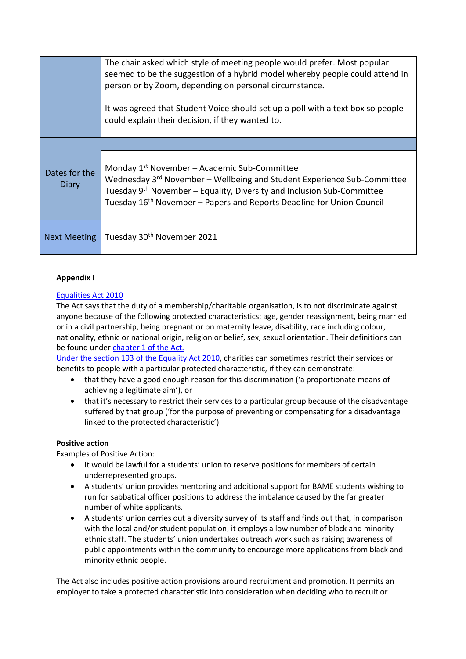|                        | The chair asked which style of meeting people would prefer. Most popular<br>seemed to be the suggestion of a hybrid model whereby people could attend in<br>person or by Zoom, depending on personal circumstance.<br>It was agreed that Student Voice should set up a poll with a text box so people<br>could explain their decision, if they wanted to. |
|------------------------|-----------------------------------------------------------------------------------------------------------------------------------------------------------------------------------------------------------------------------------------------------------------------------------------------------------------------------------------------------------|
| Dates for the<br>Diary |                                                                                                                                                                                                                                                                                                                                                           |
|                        | Monday 1 <sup>st</sup> November - Academic Sub-Committee<br>Wednesday 3 <sup>rd</sup> November - Wellbeing and Student Experience Sub-Committee<br>Tuesday 9 <sup>th</sup> November – Equality, Diversity and Inclusion Sub-Committee<br>Tuesday 16 <sup>th</sup> November - Papers and Reports Deadline for Union Council                                |
| <b>Next Meeting</b>    | Tuesday 30 <sup>th</sup> November 2021                                                                                                                                                                                                                                                                                                                    |

## **Appendix I**

## [Equalities Act 2010](https://www.legislation.gov.uk/ukpga/2010/15/pdfs/ukpga_20100015_en.pdf)

The Act says that the duty of a membership/charitable organisation, is to not discriminate against anyone because of the following protected characteristics: age, gender reassignment, being married or in a civil partnership, being pregnant or on maternity leave, disability, race including colour, nationality, ethnic or national origin, religion or belief, sex, sexual orientation. Their definitions can be found under [chapter 1 of the Act.](https://eur03.safelinks.protection.outlook.com/?url=https%3A%2F%2Fwww.legislation.gov.uk%2Fukpga%2F2010%2F15%2Fpart%2F2%2Fchapter%2F1&data=04%7C01%7Ctracy.priestman%40su.plymouth.ac.uk%7C30c451dbd2f444387a3b08d95288d727%7C5437e7eb83fb4d1abfd3bb247e061bf1%7C1%7C0%7C637631570092964787%7CUnknown%7CTWFpbGZsb3d8eyJWIjoiMC4wLjAwMDAiLCJQIjoiV2luMzIiLCJBTiI6Ik1haWwiLCJXVCI6Mn0%3D%7C1000&sdata=DsQx5h5HGcs8q%2BRtYwESqw%2BuL2oVv44fWOzgaNH52VU%3D&reserved=0)

[Under the section 193 of the Equality Act 2010,](https://eur03.safelinks.protection.outlook.com/?url=https%3A%2F%2Fwww.legislation.gov.uk%2Fukpga%2F2010%2F15%2Fsection%2F193&data=04%7C01%7Ctracy.priestman%40su.plymouth.ac.uk%7C30c451dbd2f444387a3b08d95288d727%7C5437e7eb83fb4d1abfd3bb247e061bf1%7C1%7C0%7C637631570092974741%7CUnknown%7CTWFpbGZsb3d8eyJWIjoiMC4wLjAwMDAiLCJQIjoiV2luMzIiLCJBTiI6Ik1haWwiLCJXVCI6Mn0%3D%7C1000&sdata=uhmviPDbBnVCSOal3EiViYnZn6xXAXgQCNHE0IpHD7E%3D&reserved=0) charities can sometimes restrict their services or benefits to people with a particular protected characteristic, if they can demonstrate:

- that they have a good enough reason for this discrimination ('a proportionate means of achieving a legitimate aim'), or
- that it's necessary to restrict their services to a particular group because of the disadvantage suffered by that group ('for the purpose of preventing or compensating for a disadvantage linked to the protected characteristic').

#### **Positive action**

Examples of Positive Action:

- It would be lawful for a students' union to reserve positions for members of certain underrepresented groups.
- A students' union provides mentoring and additional support for BAME students wishing to run for sabbatical officer positions to address the imbalance caused by the far greater number of white applicants.
- A students' union carries out a diversity survey of its staff and finds out that, in comparison with the local and/or student population, it employs a low number of black and minority ethnic staff. The students' union undertakes outreach work such as raising awareness of public appointments within the community to encourage more applications from black and minority ethnic people.

The Act also includes positive action provisions around recruitment and promotion. It permits an employer to take a protected characteristic into consideration when deciding who to recruit or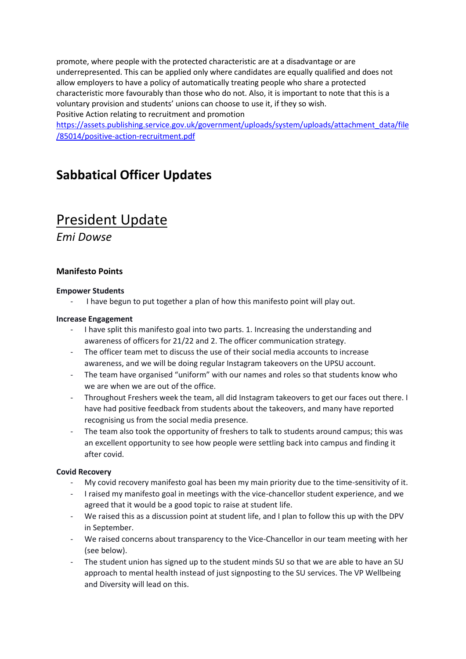promote, where people with the protected characteristic are at a disadvantage or are underrepresented. This can be applied only where candidates are equally qualified and does not allow employers to have a policy of automatically treating people who share a protected characteristic more favourably than those who do not. Also, it is important to note that this is a voluntary provision and students' unions can choose to use it, if they so wish. Positive Action relating to recruitment and promotion

[https://assets.publishing.service.gov.uk/government/uploads/system/uploads/attachment\\_data/file](https://assets.publishing.service.gov.uk/government/uploads/system/uploads/attachment_data/file/85014/positive-action-recruitment.pdf) [/85014/positive-action-recruitment.pdf](https://assets.publishing.service.gov.uk/government/uploads/system/uploads/attachment_data/file/85014/positive-action-recruitment.pdf)

## **Sabbatical Officer Updates**

# President Update

*Emi Dowse*

## **Manifesto Points**

#### **Empower Students**

I have begun to put together a plan of how this manifesto point will play out.

#### **Increase Engagement**

- I have split this manifesto goal into two parts. 1. Increasing the understanding and awareness of officers for 21/22 and 2. The officer communication strategy.
- The officer team met to discuss the use of their social media accounts to increase awareness, and we will be doing regular Instagram takeovers on the UPSU account.
- The team have organised "uniform" with our names and roles so that students know who we are when we are out of the office.
- Throughout Freshers week the team, all did Instagram takeovers to get our faces out there. I have had positive feedback from students about the takeovers, and many have reported recognising us from the social media presence.
- The team also took the opportunity of freshers to talk to students around campus; this was an excellent opportunity to see how people were settling back into campus and finding it after covid.

## **Covid Recovery**

- My covid recovery manifesto goal has been my main priority due to the time-sensitivity of it.
- I raised my manifesto goal in meetings with the vice-chancellor student experience, and we agreed that it would be a good topic to raise at student life.
- We raised this as a discussion point at student life, and I plan to follow this up with the DPV in September.
- We raised concerns about transparency to the Vice-Chancellor in our team meeting with her (see below).
- The student union has signed up to the student minds SU so that we are able to have an SU approach to mental health instead of just signposting to the SU services. The VP Wellbeing and Diversity will lead on this.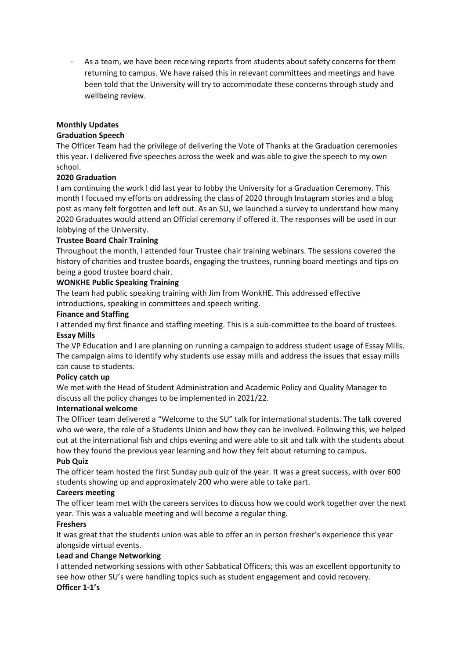As a team, we have been receiving reports from students about safety concerns for them returning to campus. We have raised this in relevant committees and meetings and have been told that the University will try to accommodate these concerns through study and wellbeing review.

## **Monthly Updates**

## **Graduation Speech**

The Officer Team had the privilege of delivering the Vote of Thanks at the Graduation ceremonies this year. I delivered five speeches across the week and was able to give the speech to my own school.

## **2020 Graduation**

I am continuing the work I did last year to lobby the University for a Graduation Ceremony. This month I focused my efforts on addressing the class of 2020 through Instagram stories and a blog post as many felt forgotten and left out. As an SU, we launched a survey to understand how many 2020 Graduates would attend an Official ceremony if offered it. The responses will be used in our lobbying of the University.

## **Trustee Board Chair Training**

Throughout the month, I attended four Trustee chair training webinars. The sessions covered the history of charities and trustee boards, engaging the trustees, running board meetings and tips on being a good trustee board chair.

## **WONKHE Public Speaking Training**

The team had public speaking training with Jim from WonkHE. This addressed effective introductions, speaking in committees and speech writing.

## **Finance and Staffing**

I attended my first finance and staffing meeting. This is a sub-committee to the board of trustees. **Essay Mills**

The VP Education and I are planning on running a campaign to address student usage of Essay Mills. The campaign aims to identify why students use essay mills and address the issues that essay mills can cause to students.

## **Policy catch up**

We met with the Head of Student Administration and Academic Policy and Quality Manager to discuss all the policy changes to be implemented in 2021/22.

## **International welcome**

The Officer team delivered a "Welcome to the SU" talk for international students. The talk covered who we were, the role of a Students Union and how they can be involved. Following this, we helped out at the international fish and chips evening and were able to sit and talk with the students about how they found the previous year learning and how they felt about returning to campus**.**

#### **Pub Quiz**

The officer team hosted the first Sunday pub quiz of the year. It was a great success, with over 600 students showing up and approximately 200 who were able to take part.

## **Careers meeting**

The officer team met with the careers services to discuss how we could work together over the next year. This was a valuable meeting and will become a regular thing.

## **Freshers**

It was great that the students union was able to offer an in person fresher's experience this year alongside virtual events.

## **Lead and Change Networking**

I attended networking sessions with other Sabbatical Officers; this was an excellent opportunity to see how other SU's were handling topics such as student engagement and covid recovery. **Officer 1-1's**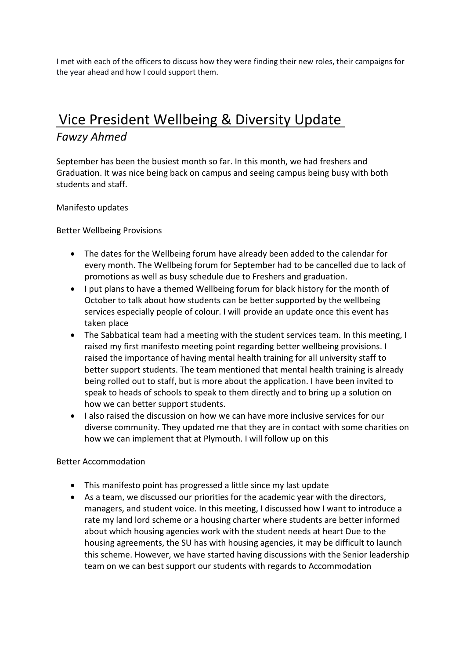I met with each of the officers to discuss how they were finding their new roles, their campaigns for the year ahead and how I could support them.

# Vice President Wellbeing & Diversity Update *Fawzy Ahmed*

September has been the busiest month so far. In this month, we had freshers and Graduation. It was nice being back on campus and seeing campus being busy with both students and staff.

## Manifesto updates

Better Wellbeing Provisions

- The dates for the Wellbeing forum have already been added to the calendar for every month. The Wellbeing forum for September had to be cancelled due to lack of promotions as well as busy schedule due to Freshers and graduation.
- I put plans to have a themed Wellbeing forum for black history for the month of October to talk about how students can be better supported by the wellbeing services especially people of colour. I will provide an update once this event has taken place
- The Sabbatical team had a meeting with the student services team. In this meeting, I raised my first manifesto meeting point regarding better wellbeing provisions. I raised the importance of having mental health training for all university staff to better support students. The team mentioned that mental health training is already being rolled out to staff, but is more about the application. I have been invited to speak to heads of schools to speak to them directly and to bring up a solution on how we can better support students.
- I also raised the discussion on how we can have more inclusive services for our diverse community. They updated me that they are in contact with some charities on how we can implement that at Plymouth. I will follow up on this

## Better Accommodation

- This manifesto point has progressed a little since my last update
- As a team, we discussed our priorities for the academic year with the directors, managers, and student voice. In this meeting, I discussed how I want to introduce a rate my land lord scheme or a housing charter where students are better informed about which housing agencies work with the student needs at heart Due to the housing agreements, the SU has with housing agencies, it may be difficult to launch this scheme. However, we have started having discussions with the Senior leadership team on we can best support our students with regards to Accommodation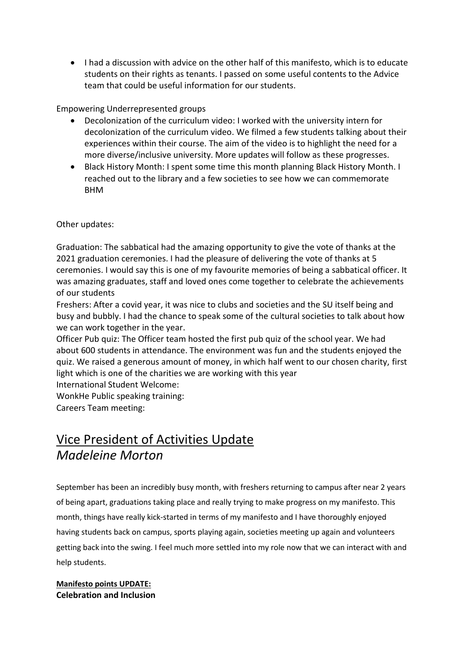• I had a discussion with advice on the other half of this manifesto, which is to educate students on their rights as tenants. I passed on some useful contents to the Advice team that could be useful information for our students.

Empowering Underrepresented groups

- Decolonization of the curriculum video: I worked with the university intern for decolonization of the curriculum video. We filmed a few students talking about their experiences within their course. The aim of the video is to highlight the need for a more diverse/inclusive university. More updates will follow as these progresses.
- Black History Month: I spent some time this month planning Black History Month. I reached out to the library and a few societies to see how we can commemorate BHM

Other updates:

Graduation: The sabbatical had the amazing opportunity to give the vote of thanks at the 2021 graduation ceremonies. I had the pleasure of delivering the vote of thanks at 5 ceremonies. I would say this is one of my favourite memories of being a sabbatical officer. It was amazing graduates, staff and loved ones come together to celebrate the achievements of our students

Freshers: After a covid year, it was nice to clubs and societies and the SU itself being and busy and bubbly. I had the chance to speak some of the cultural societies to talk about how we can work together in the year.

Officer Pub quiz: The Officer team hosted the first pub quiz of the school year. We had about 600 students in attendance. The environment was fun and the students enjoyed the quiz. We raised a generous amount of money, in which half went to our chosen charity, first light which is one of the charities we are working with this year

International Student Welcome:

WonkHe Public speaking training:

Careers Team meeting:

## Vice President of Activities Update *Madeleine Morton*

September has been an incredibly busy month, with freshers returning to campus after near 2 years of being apart, graduations taking place and really trying to make progress on my manifesto. This month, things have really kick-started in terms of my manifesto and I have thoroughly enjoyed having students back on campus, sports playing again, societies meeting up again and volunteers getting back into the swing. I feel much more settled into my role now that we can interact with and help students.

## **Manifesto points UPDATE: Celebration and Inclusion**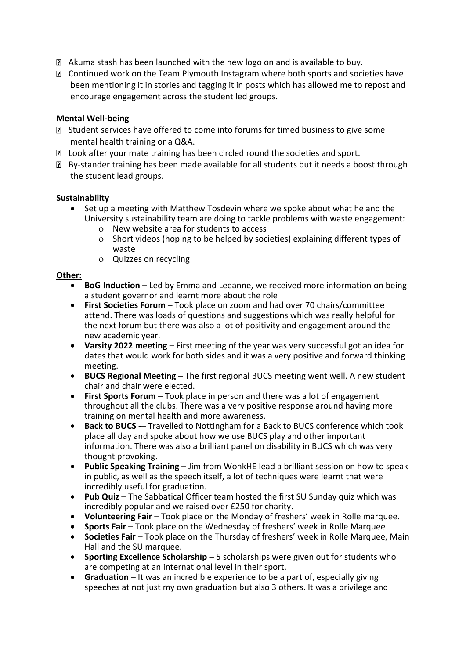- Akuma stash has been launched with the new logo on and is available to buy.
- Continued work on the Team.Plymouth Instagram where both sports and societies have been mentioning it in stories and tagging it in posts which has allowed me to repost and encourage engagement across the student led groups.

## **Mental Well-being**

- Student services have offered to come into forums for timed business to give some mental health training or a Q&A.
- **I** Look after your mate training has been circled round the societies and sport.
- By-stander training has been made available for all students but it needs a boost through the student lead groups.

## **Sustainability**

- Set up a meeting with Matthew Tosdevin where we spoke about what he and the University sustainability team are doing to tackle problems with waste engagement:
	- New website area for students to access
	- Short videos (hoping to be helped by societies) explaining different types of waste
	- Quizzes on recycling

## **Other:**

- **BoG Induction**  Led by Emma and Leeanne, we received more information on being a student governor and learnt more about the role
- **First Societies Forum**  Took place on zoom and had over 70 chairs/committee attend. There was loads of questions and suggestions which was really helpful for the next forum but there was also a lot of positivity and engagement around the new academic year.
- **Varsity 2022 meeting**  First meeting of the year was very successful got an idea for dates that would work for both sides and it was a very positive and forward thinking meeting.
- **BUCS Regional Meeting**  The first regional BUCS meeting went well. A new student chair and chair were elected.
- **First Sports Forum**  Took place in person and there was a lot of engagement throughout all the clubs. There was a very positive response around having more training on mental health and more awareness.
- **Back to BUCS -** Travelled to Nottingham for a Back to BUCS conference which took place all day and spoke about how we use BUCS play and other important information. There was also a brilliant panel on disability in BUCS which was very thought provoking.
- **Public Speaking Training**  Jim from WonkHE lead a brilliant session on how to speak in public, as well as the speech itself, a lot of techniques were learnt that were incredibly useful for graduation.
- **Pub Quiz** The Sabbatical Officer team hosted the first SU Sunday quiz which was incredibly popular and we raised over £250 for charity.
- **Volunteering Fair**  Took place on the Monday of freshers' week in Rolle marquee.
- **Sports Fair** Took place on the Wednesday of freshers' week in Rolle Marquee
- **Societies Fair**  Took place on the Thursday of freshers' week in Rolle Marquee, Main Hall and the SU marquee.
- **Sporting Excellence Scholarship**  5 scholarships were given out for students who are competing at an international level in their sport.
- **Graduation**  It was an incredible experience to be a part of, especially giving speeches at not just my own graduation but also 3 others. It was a privilege and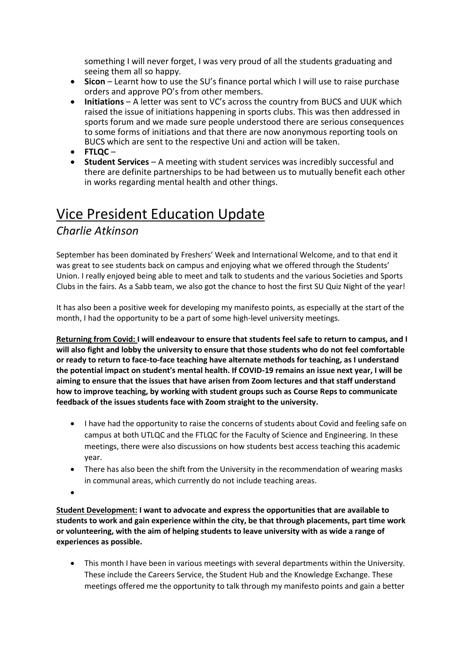something I will never forget, I was very proud of all the students graduating and seeing them all so happy.

- **Sicon** Learnt how to use the SU's finance portal which I will use to raise purchase orders and approve PO's from other members.
- **Initiations** A letter was sent to VC's across the country from BUCS and UUK which raised the issue of initiations happening in sports clubs. This was then addressed in sports forum and we made sure people understood there are serious consequences to some forms of initiations and that there are now anonymous reporting tools on BUCS which are sent to the respective Uni and action will be taken.
- **FTLQC** –
- **Student Services**  A meeting with student services was incredibly successful and there are definite partnerships to be had between us to mutually benefit each other in works regarding mental health and other things.

# Vice President Education Update

## *Charlie Atkinson*

September has been dominated by Freshers' Week and International Welcome, and to that end it was great to see students back on campus and enjoying what we offered through the Students' Union. I really enjoyed being able to meet and talk to students and the various Societies and Sports Clubs in the fairs. As a Sabb team, we also got the chance to host the first SU Quiz Night of the year!

It has also been a positive week for developing my manifesto points, as especially at the start of the month, I had the opportunity to be a part of some high-level university meetings.

**Returning from Covid: I will endeavour to ensure that students feel safe to return to campus, and I will also fight and lobby the university to ensure that those students who do not feel comfortable or ready to return to face-to-face teaching have alternate methods for teaching, as I understand the potential impact on student's mental health. If COVID-19 remains an issue next year, I will be aiming to ensure that the issues that have arisen from Zoom lectures and that staff understand how to improve teaching, by working with student groups such as Course Reps to communicate feedback of the issues students face with Zoom straight to the university.**

- I have had the opportunity to raise the concerns of students about Covid and feeling safe on campus at both UTLQC and the FTLQC for the Faculty of Science and Engineering. In these meetings, there were also discussions on how students best access teaching this academic year.
- There has also been the shift from the University in the recommendation of wearing masks in communal areas, which currently do not include teaching areas.
- •

**Student Development: I want to advocate and express the opportunities that are available to students to work and gain experience within the city, be that through placements, part time work or volunteering, with the aim of helping students to leave university with as wide a range of experiences as possible.**

• This month I have been in various meetings with several departments within the University. These include the Careers Service, the Student Hub and the Knowledge Exchange. These meetings offered me the opportunity to talk through my manifesto points and gain a better